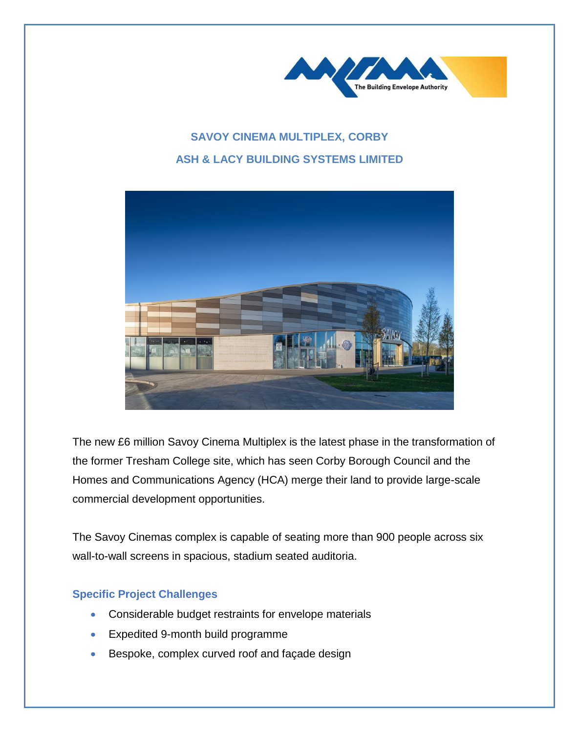

## **SAVOY CINEMA MULTIPLEX, CORBY ASH & LACY BUILDING SYSTEMS LIMITED**



The new £6 million Savoy Cinema Multiplex is the latest phase in the transformation of the former Tresham College site, which has seen Corby Borough Council and the Homes and Communications Agency (HCA) merge their land to provide large-scale commercial development opportunities.

The Savoy Cinemas complex is capable of seating more than 900 people across six wall-to-wall screens in spacious, stadium seated auditoria.

## **Specific Project Challenges**

- Considerable budget restraints for envelope materials
- Expedited 9-month build programme
- Bespoke, complex curved roof and façade design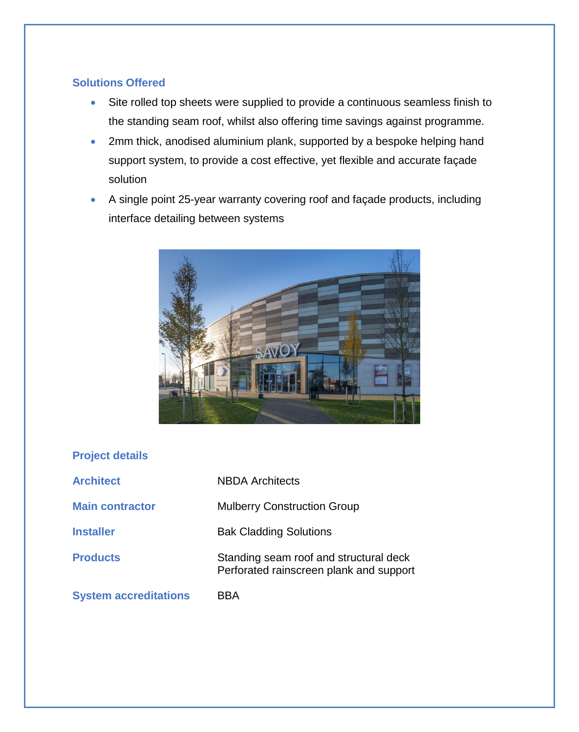## **Solutions Offered**

- Site rolled top sheets were supplied to provide a continuous seamless finish to the standing seam roof, whilst also offering time savings against programme.
- 2mm thick, anodised aluminium plank, supported by a bespoke helping hand support system, to provide a cost effective, yet flexible and accurate façade solution
- A single point 25-year warranty covering roof and façade products, including interface detailing between systems



## **Project details**

| <b>Architect</b>             | NBDA Architects                                                                   |
|------------------------------|-----------------------------------------------------------------------------------|
| <b>Main contractor</b>       | <b>Mulberry Construction Group</b>                                                |
| <b>Installer</b>             | <b>Bak Cladding Solutions</b>                                                     |
| <b>Products</b>              | Standing seam roof and structural deck<br>Perforated rainscreen plank and support |
| <b>System accreditations</b> | BBA                                                                               |